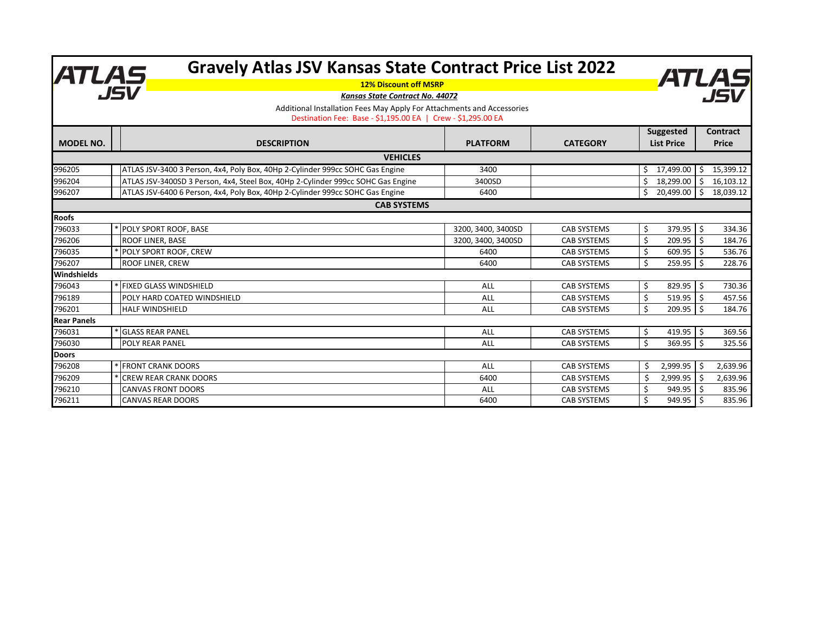|                              | <b>Gravely Atlas JSV Kansas State Contract Price List 2022</b><br>ATLAS<br>JSV                                                         |                    |                    |                              | ATLAS                     |
|------------------------------|----------------------------------------------------------------------------------------------------------------------------------------|--------------------|--------------------|------------------------------|---------------------------|
| <b>12% Discount off MSRP</b> |                                                                                                                                        |                    |                    |                              |                           |
|                              | Kansas State Contract No. 44072                                                                                                        |                    |                    |                              |                           |
|                              | Additional Installation Fees May Apply For Attachments and Accessories<br>Destination Fee: Base - \$1,195.00 EA   Crew - \$1,295.00 EA |                    |                    |                              |                           |
|                              |                                                                                                                                        |                    |                    |                              |                           |
|                              |                                                                                                                                        |                    |                    | Suggested                    | <b>Contract</b>           |
| <b>MODEL NO.</b>             | <b>DESCRIPTION</b>                                                                                                                     | <b>PLATFORM</b>    | <b>CATEGORY</b>    | <b>List Price</b>            | <b>Price</b>              |
|                              | <b>VEHICLES</b>                                                                                                                        |                    |                    |                              |                           |
| 996205                       | ATLAS JSV-3400 3 Person, 4x4, Poly Box, 40Hp 2-Cylinder 999cc SOHC Gas Engine                                                          | 3400               |                    | Ŝ.<br>17,499.00              | 15,399.12<br>\$           |
| 996204                       | ATLAS JSV-3400SD 3 Person, 4x4, Steel Box, 40Hp 2-Cylinder 999cc SOHC Gas Engine                                                       | 3400SD             |                    | Ś.<br>18,299.00              | 16,103.12<br>Ŝ.           |
| 996207                       | ATLAS JSV-6400 6 Person, 4x4, Poly Box, 40Hp 2-Cylinder 999cc SOHC Gas Engine                                                          | 6400               |                    | \$<br>20,499.00              | $\mathsf{S}$<br>18,039.12 |
|                              | <b>CAB SYSTEMS</b>                                                                                                                     |                    |                    |                              |                           |
| <b>Roofs</b>                 |                                                                                                                                        |                    |                    |                              |                           |
| 796033                       | * POLY SPORT ROOF, BASE                                                                                                                | 3200, 3400, 3400SD | <b>CAB SYSTEMS</b> | \$<br>379.95                 | -\$<br>334.36             |
| 796206                       | ROOF LINER, BASE                                                                                                                       | 3200, 3400, 3400SD | <b>CAB SYSTEMS</b> | \$<br>209.95                 | -\$<br>184.76             |
| 796035                       | POLY SPORT ROOF, CREW                                                                                                                  | 6400               | <b>CAB SYSTEMS</b> | Ŝ.<br>609.95                 | -Ś<br>536.76              |
| 796207                       | ROOF LINER, CREW                                                                                                                       | 6400               | <b>CAB SYSTEMS</b> | $\mathsf{\hat{S}}$<br>259.95 | -Ś<br>228.76              |
| Windshields                  |                                                                                                                                        |                    |                    |                              |                           |
| 796043                       | <b>FIXED GLASS WINDSHIELD</b>                                                                                                          | ALL                | <b>CAB SYSTEMS</b> | Ŝ.<br>829.95                 | -Ś<br>730.36              |
| 796189                       | POLY HARD COATED WINDSHIELD                                                                                                            | ALL                | <b>CAB SYSTEMS</b> | Ś.<br>519.95                 | \$<br>457.56              |
| 796201                       | <b>HALF WINDSHIELD</b>                                                                                                                 | ALL                | <b>CAB SYSTEMS</b> | Ŝ.<br>209.95                 | 184.76<br>Ŝ.              |
| <b>Rear Panels</b>           |                                                                                                                                        |                    |                    |                              |                           |
| 796031                       | <b>GLASS REAR PANEL</b>                                                                                                                | ALL                | <b>CAB SYSTEMS</b> | \$<br>419.95                 | \$<br>369.56              |
| 796030                       | POLY REAR PANEL                                                                                                                        | ALL                | <b>CAB SYSTEMS</b> | $\mathsf{\hat{S}}$<br>369.95 | Ŝ.<br>325.56              |
| <b>Doors</b>                 |                                                                                                                                        |                    |                    |                              |                           |
| 796208                       | * FRONT CRANK DOORS                                                                                                                    | <b>ALL</b>         | <b>CAB SYSTEMS</b> | \$<br>2,999.95               | \$<br>2,639.96            |
| 796209                       | <b>CREW REAR CRANK DOORS</b>                                                                                                           | 6400               | <b>CAB SYSTEMS</b> | Ś.<br>2,999.95               | \$<br>2,639.96            |
| 796210                       | <b>CANVAS FRONT DOORS</b>                                                                                                              | ALL                | <b>CAB SYSTEMS</b> | Ś<br>949.95                  | -Ś<br>835.96              |
| 796211                       | <b>CANVAS REAR DOORS</b>                                                                                                               | 6400               | <b>CAB SYSTEMS</b> | Ś<br>949.95                  | \$<br>835.96              |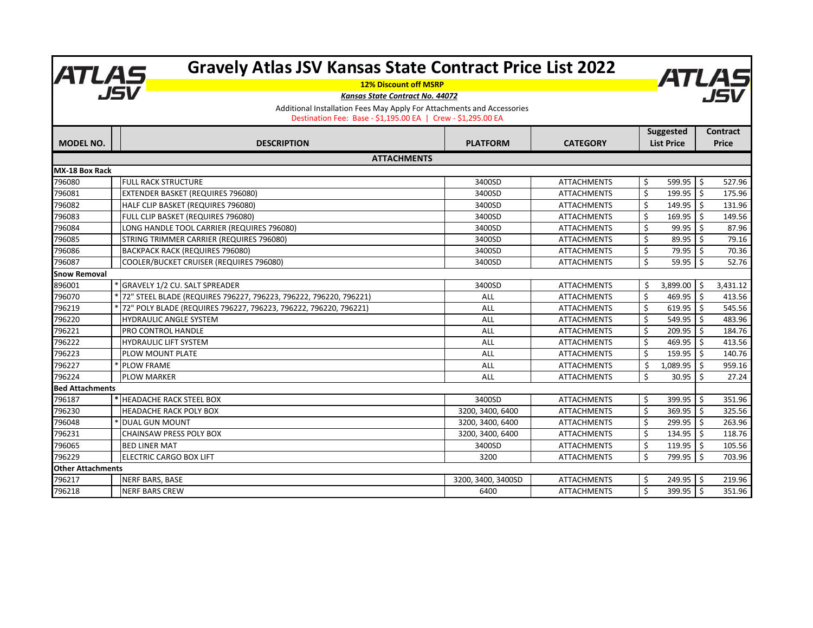|                                                                        | <b>Gravely Atlas JSV Kansas State Contract Price List 2022</b><br>ATLAS, |                    |                    |    |                              |                |          |
|------------------------------------------------------------------------|--------------------------------------------------------------------------|--------------------|--------------------|----|------------------------------|----------------|----------|
|                                                                        | <b>12% Discount off MSRP</b>                                             |                    |                    |    |                              |                | ATLAS    |
|                                                                        | Kansas State Contract No. 44072                                          |                    |                    |    |                              |                |          |
| Additional Installation Fees May Apply For Attachments and Accessories |                                                                          |                    |                    |    |                              |                |          |
|                                                                        | Destination Fee: Base - \$1,195.00 EA   Crew - \$1,295.00 EA             |                    |                    |    |                              |                |          |
|                                                                        |                                                                          |                    |                    |    | Suggested<br><b>Contract</b> |                |          |
| <b>MODEL NO.</b>                                                       | <b>DESCRIPTION</b>                                                       | <b>PLATFORM</b>    | <b>CATEGORY</b>    |    | <b>List Price</b>            | <b>Price</b>   |          |
|                                                                        | <b>ATTACHMENTS</b>                                                       |                    |                    |    |                              |                |          |
| <b>MX-18 Box Rack</b>                                                  |                                                                          |                    |                    |    |                              |                |          |
| 796080                                                                 | <b>FULL RACK STRUCTURE</b>                                               | 3400SD             | <b>ATTACHMENTS</b> | \$ | 599.95                       | l s            | 527.96   |
| 796081                                                                 | <b>EXTENDER BASKET (REQUIRES 796080)</b>                                 | 3400SD             | <b>ATTACHMENTS</b> | \$ | 199.95                       | l s            | 175.96   |
| 796082                                                                 | HALF CLIP BASKET (REQUIRES 796080)                                       | 3400SD             | <b>ATTACHMENTS</b> | \$ | 149.95                       | S.             | 131.96   |
| 796083                                                                 | FULL CLIP BASKET (REQUIRES 796080)                                       | 3400SD             | <b>ATTACHMENTS</b> | Ś. | 169.95                       | I \$           | 149.56   |
| 796084                                                                 | LONG HANDLE TOOL CARRIER (REQUIRES 796080)                               | 3400SD             | <b>ATTACHMENTS</b> | \$ | 99.95                        | l s            | 87.96    |
| 796085                                                                 | STRING TRIMMER CARRIER (REQUIRES 796080)                                 | 3400SD             | <b>ATTACHMENTS</b> | \$ | 89.95                        | - Ś            | 79.16    |
| 796086                                                                 | <b>BACKPACK RACK (REQUIRES 796080)</b>                                   | 3400SD             | <b>ATTACHMENTS</b> | Ś  | 79.95                        | -Ś             | 70.36    |
| 796087                                                                 | COOLER/BUCKET CRUISER (REQUIRES 796080)                                  | 3400SD             | <b>ATTACHMENTS</b> | \$ | 59.95                        | S.             | 52.76    |
| <b>Snow Removal</b>                                                    |                                                                          |                    |                    |    |                              |                |          |
| 896001                                                                 | * GRAVELY 1/2 CU. SALT SPREADER                                          | 3400SD             | <b>ATTACHMENTS</b> | Ś  | 3,899.00                     | - Ś            | 3,431.12 |
| 796070                                                                 | * 72" STEEL BLADE (REQUIRES 796227, 796223, 796222, 796220, 796221)      | ALL                | <b>ATTACHMENTS</b> | Ś  | 469.95                       | $\ddot{\zeta}$ | 413.56   |
| 796219                                                                 | 72" POLY BLADE (REQUIRES 796227, 796223, 796222, 796220, 796221)         | ALL                | <b>ATTACHMENTS</b> | \$ | 619.95                       | I \$           | 545.56   |
| 796220                                                                 | <b>HYDRAULIC ANGLE SYSTEM</b>                                            | ALL                | <b>ATTACHMENTS</b> | Ś  | 549.95                       | l \$           | 483.96   |
| 796221                                                                 | <b>PRO CONTROL HANDLE</b>                                                | ALL                | <b>ATTACHMENTS</b> | Ś. | 209.95                       | Ŝ.             | 184.76   |
| 796222                                                                 | <b>HYDRAULIC LIFT SYSTEM</b>                                             | ALL                | <b>ATTACHMENTS</b> | Ś. | 469.95                       | Ŝ.             | 413.56   |
| 796223                                                                 | <b>PLOW MOUNT PLATE</b>                                                  | ALL                | <b>ATTACHMENTS</b> | Ś  | 159.95                       | - Ś            | 140.76   |
| 796227                                                                 | <b>PLOW FRAME</b>                                                        | ALL                | <b>ATTACHMENTS</b> | Ś  | 1,089.95                     | Ŝ.             | 959.16   |
| 796224                                                                 | <b>PLOW MARKER</b>                                                       | ALL                | <b>ATTACHMENTS</b> | Ś  | 30.95                        | -Ś             | 27.24    |
| <b>Bed Attachments</b>                                                 |                                                                          |                    |                    |    |                              |                |          |
| 796187                                                                 | * HEADACHE RACK STEEL BOX                                                | 3400SD             | <b>ATTACHMENTS</b> | Ŝ. | 399.95                       | ۱\$            | 351.96   |
| 796230                                                                 | <b>HEADACHE RACK POLY BOX</b>                                            | 3200, 3400, 6400   | <b>ATTACHMENTS</b> | Ś  | 369.95                       | -Ś             | 325.56   |
| 796048                                                                 | <b>DUAL GUN MOUNT</b>                                                    | 3200, 3400, 6400   | <b>ATTACHMENTS</b> | Ś. | 299.95                       | Ŝ.             | 263.96   |
| 796231                                                                 | <b>CHAINSAW PRESS POLY BOX</b>                                           | 3200, 3400, 6400   | <b>ATTACHMENTS</b> | Ś  | 134.95                       | Ŝ.             | 118.76   |
| 796065                                                                 | <b>BED LINER MAT</b>                                                     | 3400SD             | <b>ATTACHMENTS</b> | Ś  | 119.95                       | l \$           | 105.56   |
| 796229                                                                 | <b>IELECTRIC CARGO BOX LIFT</b>                                          | 3200               | <b>ATTACHMENTS</b> | Ś  | 799.95                       | S.             | 703.96   |
| <b>Other Attachments</b>                                               |                                                                          |                    |                    |    |                              |                |          |
| 796217                                                                 | NERF BARS, BASE                                                          | 3200, 3400, 3400SD | <b>ATTACHMENTS</b> | Ŝ. | 249.95                       | ۱Ś.            | 219.96   |
| 796218                                                                 | <b>NERF BARS CREW</b>                                                    | 6400               | <b>ATTACHMENTS</b> | Ś. | 399.95                       | ا \$           | 351.96   |